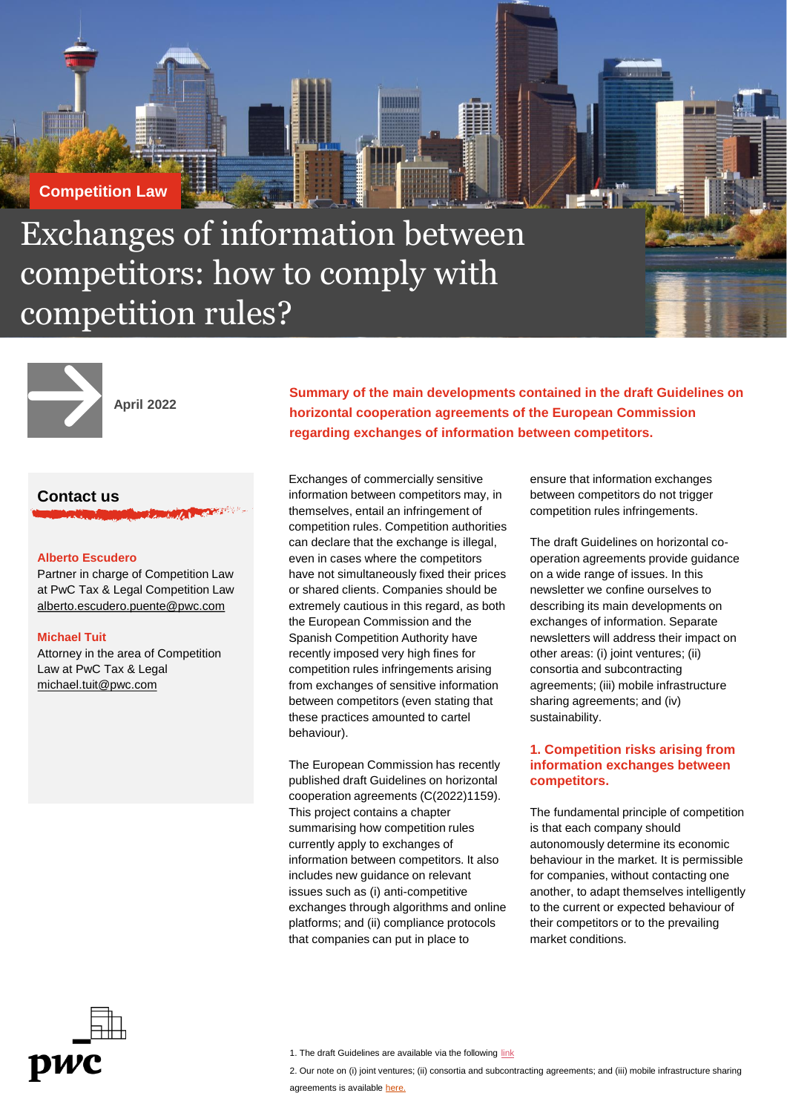# **Competition Law**

Exchanges of information between competitors: how to comply with competition rules?



**April 2022**

# **Contact us**

#### **Alberto Escudero**

Partner in charge of Competition Law at PwC Tax & Legal Competition Law alberto.escudero.puente@pwc.com

#### **Michael Tuit**

Attorney in the area of Competition Law at PwC Tax & Legal michael.tuit@pwc.com

**Summary of the main developments contained in the draft Guidelines on horizontal cooperation agreements of the European Commission regarding exchanges of information between competitors.** 

Exchanges of commercially sensitive information between competitors may, in themselves, entail an infringement of competition rules. Competition authorities can declare that the exchange is illegal, even in cases where the competitors have not simultaneously fixed their prices or shared clients. Companies should be extremely cautious in this regard, as both the European Commission and the Spanish Competition Authority have recently imposed very high fines for competition rules infringements arising from exchanges of sensitive information between competitors (even stating that these practices amounted to cartel behaviour).

mmmm

The European Commission has recently published draft Guidelines on horizontal cooperation agreements (C(2022)1159). This project contains a chapter summarising how competition rules currently apply to exchanges of information between competitors. It also includes new guidance on relevant issues such as (i) anti-competitive exchanges through algorithms and online platforms; and (ii) compliance protocols that companies can put in place to

ensure that information exchanges between competitors do not trigger competition rules infringements.

The draft Guidelines on horizontal cooperation agreements provide guidance on a wide range of issues. In this newsletter we confine ourselves to describing its main developments on exchanges of information. Separate newsletters will address their impact on other areas: (i) joint ventures; (ii) consortia and subcontracting agreements; (iii) mobile infrastructure sharing agreements; and (iv) sustainability.

## **1. Competition risks arising from information exchanges between competitors.**

The fundamental principle of competition is that each company should autonomously determine its economic behaviour in the market. It is permissible for companies, without contacting one another, to adapt themselves intelligently to the current or expected behaviour of their competitors or to the prevailing market conditions.



2. Our note on (i) joint ventures; (ii) consortia and subcontracting agreements; and (iii) mobile infrastructure sharing

<sup>1.</sup> The draft Guidelines are available via the following [link](https://ec.europa.eu/competition-policy/public-consultations/2022-hbers_en)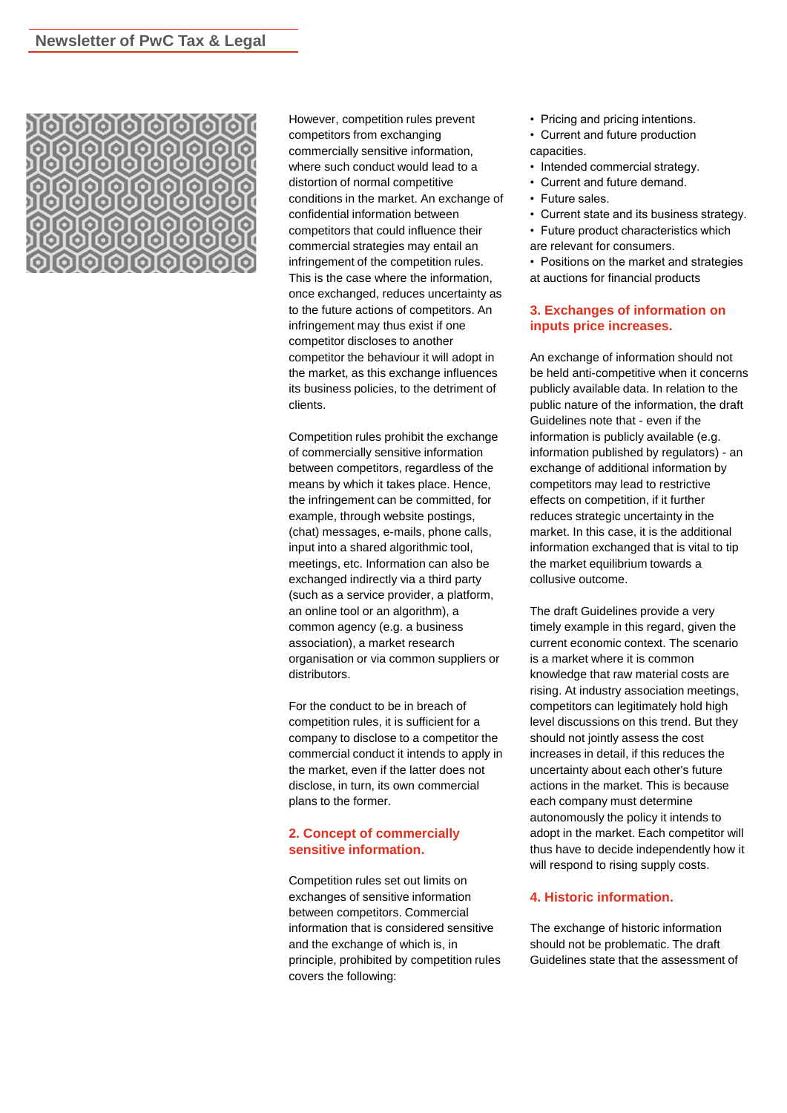

However, competition rules prevent competitors from exchanging commercially sensitive information, where such conduct would lead to a distortion of normal competitive conditions in the market. An exchange of confidential information between competitors that could influence their commercial strategies may entail an infringement of the competition rules. This is the case where the information, once exchanged, reduces uncertainty as to the future actions of competitors. An infringement may thus exist if one competitor discloses to another competitor the behaviour it will adopt in the market, as this exchange influences its business policies, to the detriment of clients.

Competition rules prohibit the exchange of commercially sensitive information between competitors, regardless of the means by which it takes place. Hence, the infringement can be committed, for example, through website postings, (chat) messages, e-mails, phone calls, input into a shared algorithmic tool, meetings, etc. Information can also be exchanged indirectly via a third party (such as a service provider, a platform, an online tool or an algorithm), a common agency (e.g. a business association), a market research organisation or via common suppliers or distributors.

For the conduct to be in breach of competition rules, it is sufficient for a company to disclose to a competitor the commercial conduct it intends to apply in the market, even if the latter does not disclose, in turn, its own commercial plans to the former.

### **2. Concept of commercially sensitive information.**

Competition rules set out limits on exchanges of sensitive information between competitors. Commercial information that is considered sensitive and the exchange of which is, in principle, prohibited by competition rules covers the following:

- Pricing and pricing intentions.
- Current and future production capacities.
- Intended commercial strategy.
- Current and future demand.
- Future sales.
- Current state and its business strategy.
- Future product characteristics which are relevant for consumers.

• Positions on the market and strategies at auctions for financial products

### **3. Exchanges of information on inputs price increases.**

An exchange of information should not be held anti-competitive when it concerns publicly available data. In relation to the public nature of the information, the draft Guidelines note that - even if the information is publicly available (e.g. information published by regulators) - an exchange of additional information by competitors may lead to restrictive effects on competition, if it further reduces strategic uncertainty in the market. In this case, it is the additional information exchanged that is vital to tip the market equilibrium towards a collusive outcome.

The draft Guidelines provide a very timely example in this regard, given the current economic context. The scenario is a market where it is common knowledge that raw material costs are rising. At industry association meetings, competitors can legitimately hold high level discussions on this trend. But they should not jointly assess the cost increases in detail, if this reduces the uncertainty about each other's future actions in the market. This is because each company must determine autonomously the policy it intends to adopt in the market. Each competitor will thus have to decide independently how it will respond to rising supply costs.

#### **4. Historic information.**

The exchange of historic information should not be problematic. The draft Guidelines state that the assessment of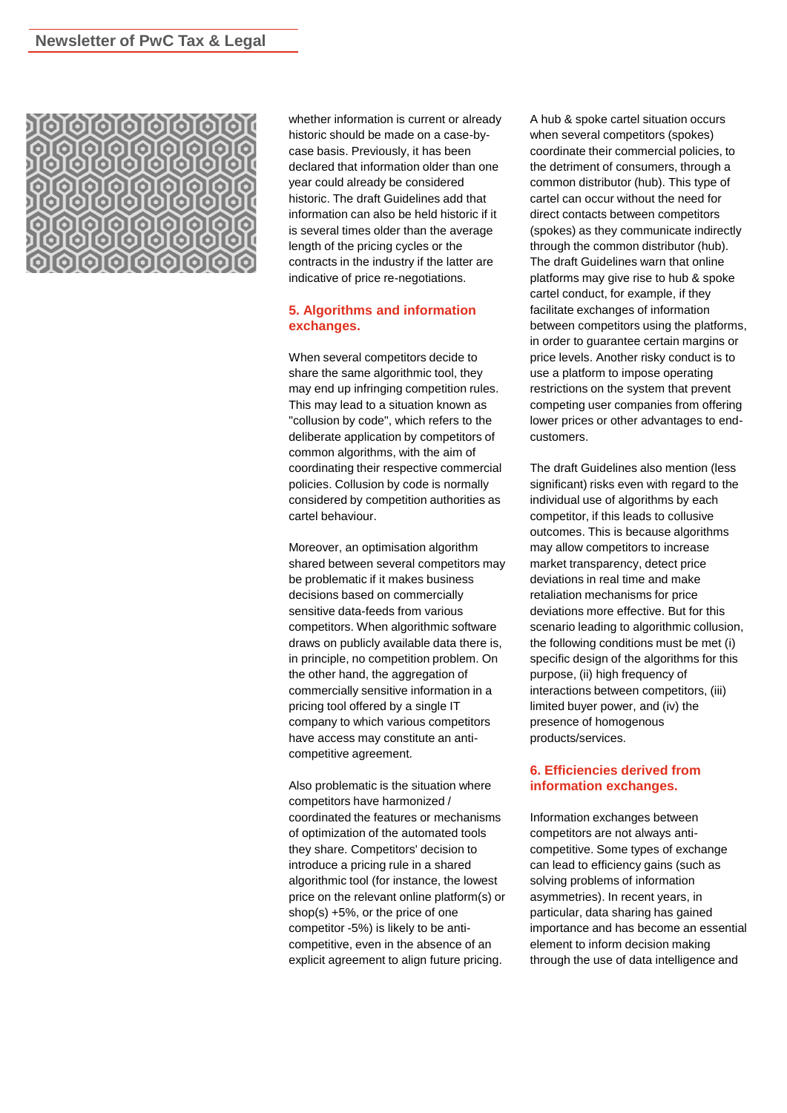

whether information is current or already historic should be made on a case-bycase basis. Previously, it has been declared that information older than one year could already be considered historic. The draft Guidelines add that information can also be held historic if it is several times older than the average length of the pricing cycles or the contracts in the industry if the latter are indicative of price re-negotiations.

### **5. Algorithms and information exchanges.**

When several competitors decide to share the same algorithmic tool, they may end up infringing competition rules. This may lead to a situation known as "collusion by code", which refers to the deliberate application by competitors of common algorithms, with the aim of coordinating their respective commercial policies. Collusion by code is normally considered by competition authorities as cartel behaviour.

Moreover, an optimisation algorithm shared between several competitors may be problematic if it makes business decisions based on commercially sensitive data-feeds from various competitors. When algorithmic software draws on publicly available data there is, in principle, no competition problem. On the other hand, the aggregation of commercially sensitive information in a pricing tool offered by a single IT company to which various competitors have access may constitute an anticompetitive agreement.

Also problematic is the situation where competitors have harmonized / coordinated the features or mechanisms of optimization of the automated tools they share. Competitors' decision to introduce a pricing rule in a shared algorithmic tool (for instance, the lowest price on the relevant online platform(s) or shop(s) +5%, or the price of one competitor -5%) is likely to be anticompetitive, even in the absence of an explicit agreement to align future pricing.

A hub & spoke cartel situation occurs when several competitors (spokes) coordinate their commercial policies, to the detriment of consumers, through a common distributor (hub). This type of cartel can occur without the need for direct contacts between competitors (spokes) as they communicate indirectly through the common distributor (hub). The draft Guidelines warn that online platforms may give rise to hub & spoke cartel conduct, for example, if they facilitate exchanges of information between competitors using the platforms, in order to guarantee certain margins or price levels. Another risky conduct is to use a platform to impose operating restrictions on the system that prevent competing user companies from offering lower prices or other advantages to endcustomers.

The draft Guidelines also mention (less significant) risks even with regard to the individual use of algorithms by each competitor, if this leads to collusive outcomes. This is because algorithms may allow competitors to increase market transparency, detect price deviations in real time and make retaliation mechanisms for price deviations more effective. But for this scenario leading to algorithmic collusion, the following conditions must be met (i) specific design of the algorithms for this purpose, (ii) high frequency of interactions between competitors, (iii) limited buyer power, and (iv) the presence of homogenous products/services.

#### **6. Efficiencies derived from information exchanges.**

Information exchanges between competitors are not always anticompetitive. Some types of exchange can lead to efficiency gains (such as solving problems of information asymmetries). In recent years, in particular, data sharing has gained importance and has become an essential element to inform decision making through the use of data intelligence and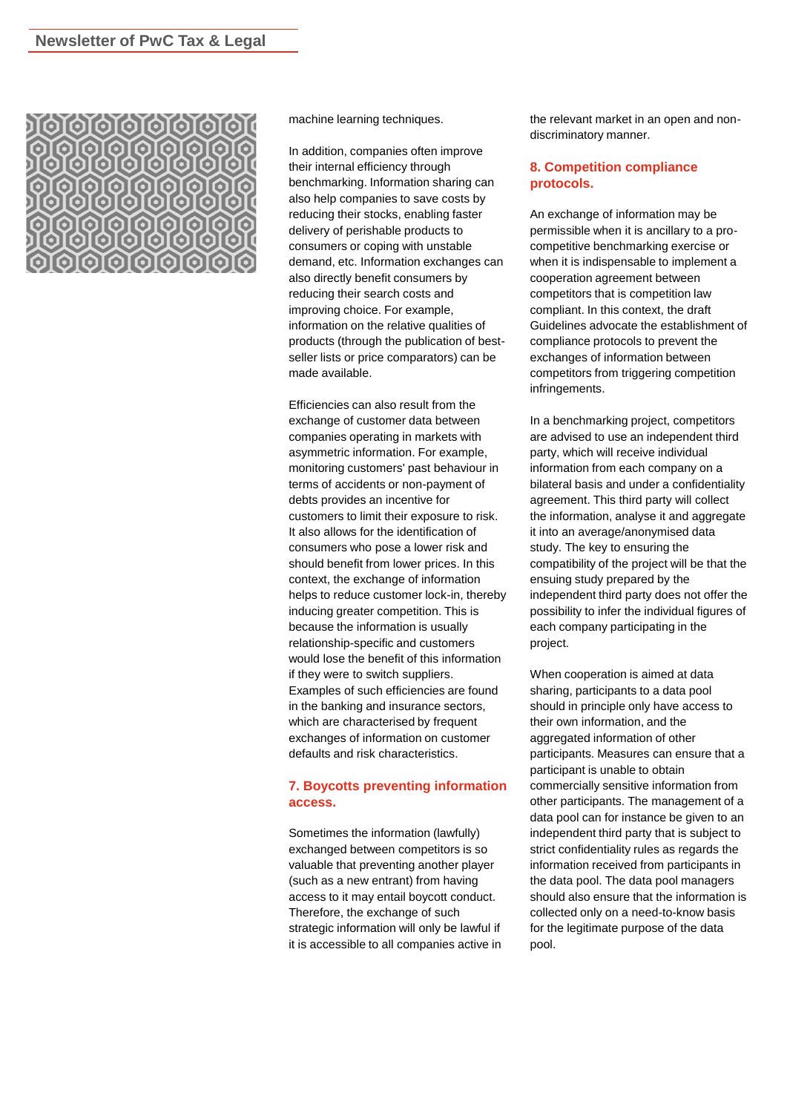

machine learning techniques.

In addition, companies often improve their internal efficiency through benchmarking. Information sharing can also help companies to save costs by reducing their stocks, enabling faster delivery of perishable products to consumers or coping with unstable demand, etc. Information exchanges can also directly benefit consumers by reducing their search costs and improving choice. For example, information on the relative qualities of products (through the publication of bestseller lists or price comparators) can be made available.

Efficiencies can also result from the exchange of customer data between companies operating in markets with asymmetric information. For example, monitoring customers' past behaviour in terms of accidents or non-payment of debts provides an incentive for customers to limit their exposure to risk. It also allows for the identification of consumers who pose a lower risk and should benefit from lower prices. In this context, the exchange of information helps to reduce customer lock-in, thereby inducing greater competition. This is because the information is usually relationship-specific and customers would lose the benefit of this information if they were to switch suppliers. Examples of such efficiencies are found in the banking and insurance sectors, which are characterised by frequent exchanges of information on customer defaults and risk characteristics.

### **7. Boycotts preventing information access.**

Sometimes the information (lawfully) exchanged between competitors is so valuable that preventing another player (such as a new entrant) from having access to it may entail boycott conduct. Therefore, the exchange of such strategic information will only be lawful if it is accessible to all companies active in the relevant market in an open and nondiscriminatory manner.

#### **8. Competition compliance protocols.**

An exchange of information may be permissible when it is ancillary to a procompetitive benchmarking exercise or when it is indispensable to implement a cooperation agreement between competitors that is competition law compliant. In this context, the draft Guidelines advocate the establishment of compliance protocols to prevent the exchanges of information between competitors from triggering competition infringements.

In a benchmarking project, competitors are advised to use an independent third party, which will receive individual information from each company on a bilateral basis and under a confidentiality agreement. This third party will collect the information, analyse it and aggregate it into an average/anonymised data study. The key to ensuring the compatibility of the project will be that the ensuing study prepared by the independent third party does not offer the possibility to infer the individual figures of each company participating in the project.

When cooperation is aimed at data sharing, participants to a data pool should in principle only have access to their own information, and the aggregated information of other participants. Measures can ensure that a participant is unable to obtain commercially sensitive information from other participants. The management of a data pool can for instance be given to an independent third party that is subject to strict confidentiality rules as regards the information received from participants in the data pool. The data pool managers should also ensure that the information is collected only on a need-to-know basis for the legitimate purpose of the data pool.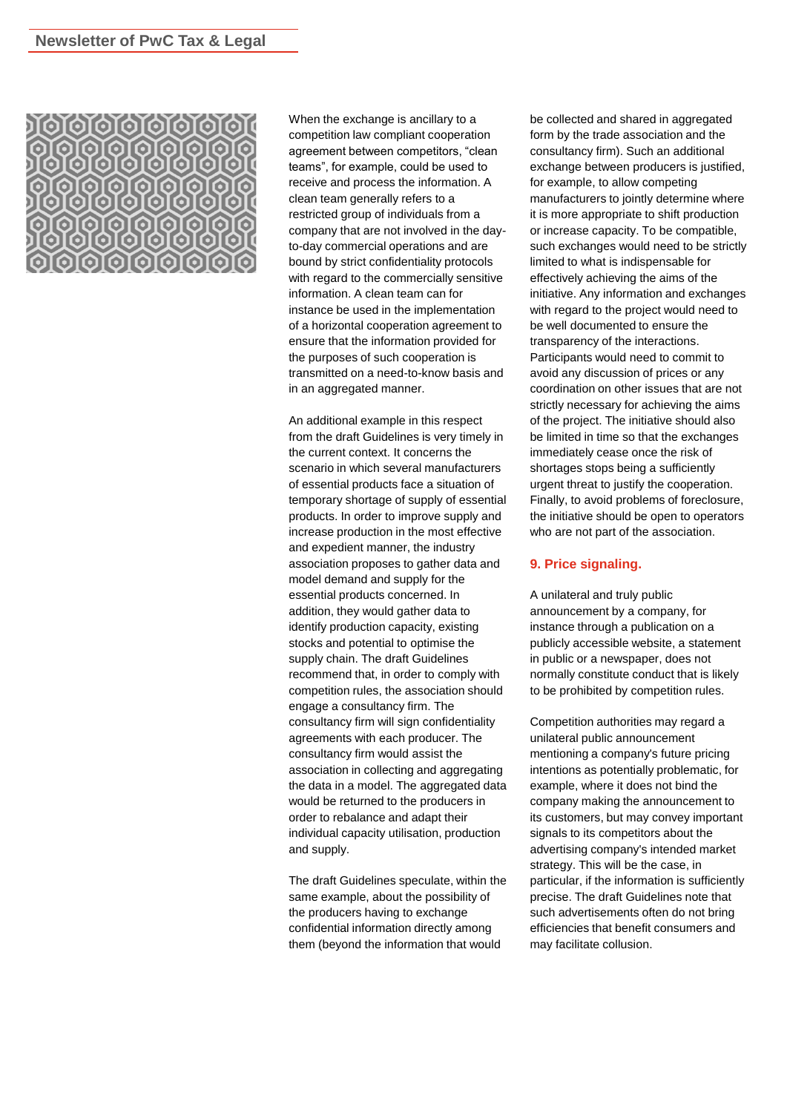

When the exchange is ancillary to a competition law compliant cooperation agreement between competitors, "clean teams", for example, could be used to receive and process the information. A clean team generally refers to a restricted group of individuals from a company that are not involved in the dayto-day commercial operations and are bound by strict confidentiality protocols with regard to the commercially sensitive information. A clean team can for instance be used in the implementation of a horizontal cooperation agreement to ensure that the information provided for the purposes of such cooperation is transmitted on a need-to-know basis and in an aggregated manner.

An additional example in this respect from the draft Guidelines is very timely in the current context. It concerns the scenario in which several manufacturers of essential products face a situation of temporary shortage of supply of essential products. In order to improve supply and increase production in the most effective and expedient manner, the industry association proposes to gather data and model demand and supply for the essential products concerned. In addition, they would gather data to identify production capacity, existing stocks and potential to optimise the supply chain. The draft Guidelines recommend that, in order to comply with competition rules, the association should engage a consultancy firm. The consultancy firm will sign confidentiality agreements with each producer. The consultancy firm would assist the association in collecting and aggregating the data in a model. The aggregated data would be returned to the producers in order to rebalance and adapt their individual capacity utilisation, production and supply.

The draft Guidelines speculate, within the same example, about the possibility of the producers having to exchange confidential information directly among them (beyond the information that would

be collected and shared in aggregated form by the trade association and the consultancy firm). Such an additional exchange between producers is justified, for example, to allow competing manufacturers to jointly determine where it is more appropriate to shift production or increase capacity. To be compatible, such exchanges would need to be strictly limited to what is indispensable for effectively achieving the aims of the initiative. Any information and exchanges with regard to the project would need to be well documented to ensure the transparency of the interactions. Participants would need to commit to avoid any discussion of prices or any coordination on other issues that are not strictly necessary for achieving the aims of the project. The initiative should also be limited in time so that the exchanges immediately cease once the risk of shortages stops being a sufficiently urgent threat to justify the cooperation. Finally, to avoid problems of foreclosure, the initiative should be open to operators who are not part of the association.

#### **9. Price signaling.**

A unilateral and truly public announcement by a company, for instance through a publication on a publicly accessible website, a statement in public or a newspaper, does not normally constitute conduct that is likely to be prohibited by competition rules.

Competition authorities may regard a unilateral public announcement mentioning a company's future pricing intentions as potentially problematic, for example, where it does not bind the company making the announcement to its customers, but may convey important signals to its competitors about the advertising company's intended market strategy. This will be the case, in particular, if the information is sufficiently precise. The draft Guidelines note that such advertisements often do not bring efficiencies that benefit consumers and may facilitate collusion.